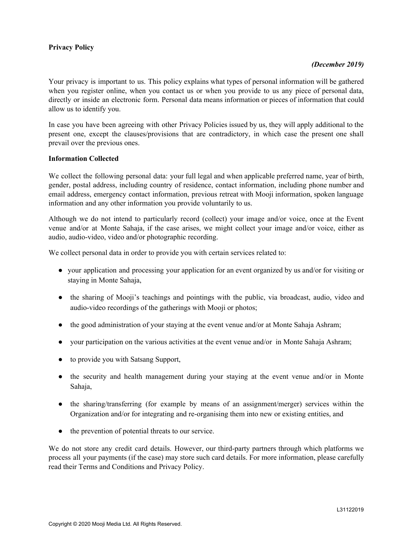## **Privacy Policy**

### *(December 2019)*

Your privacy is important to us. This policy explains what types of personal information will be gathered when you register online, when you contact us or when you provide to us any piece of personal data, directly or inside an electronic form. Personal data means information or pieces of information that could allow us to identify you.

In case you have been agreeing with other Privacy Policies issued by us, they will apply additional to the present one, except the clauses/provisions that are contradictory, in which case the present one shall prevail over the previous ones.

#### **Information Collected**

We collect the following personal data: your full legal and when applicable preferred name, year of birth, gender, postal address, including country of residence, contact information, including phone number and email address, emergency contact information, previous retreat with Mooji information, spoken language information and any other information you provide voluntarily to us.

Although we do not intend to particularly record (collect) your image and/or voice, once at the Event venue and/or at Monte Sahaja, if the case arises, we might collect your image and/or voice, either as audio, audio-video, video and/or photographic recording.

We collect personal data in order to provide you with certain services related to:

- your application and processing your application for an event organized by us and/or for visiting or staying in Monte Sahaja,
- the sharing of Mooji's teachings and pointings with the public, via broadcast, audio, video and audio-video recordings of the gatherings with Mooji or photos;
- the good administration of your staying at the event venue and/or at Monte Sahaja Ashram;
- your participation on the various activities at the event venue and/or in Monte Sahaja Ashram;
- to provide you with Satsang Support,
- the security and health management during your staying at the event venue and/or in Monte Sahaja,
- the sharing/transferring (for example by means of an assignment/merger) services within the Organization and/or for integrating and re-organising them into new or existing entities, and
- the prevention of potential threats to our service.

We do not store any credit card details. However, our third-party partners through which platforms we process all your payments (if the case) may store such card details. For more information, please carefully read their Terms and Conditions and Privacy Policy.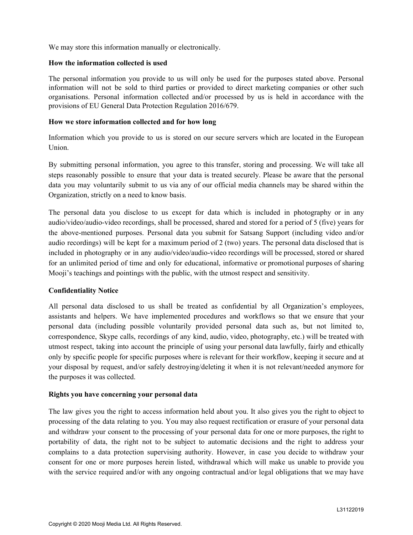We may store this information manually or electronically.

#### **How the information collected is used**

The personal information you provide to us will only be used for the purposes stated above. Personal information will not be sold to third parties or provided to direct marketing companies or other such organisations. Personal information collected and/or processed by us is held in accordance with the provisions of EU General Data Protection Regulation 2016/679.

#### **How we store information collected and for how long**

Information which you provide to us is stored on our secure servers which are located in the European Union.

By submitting personal information, you agree to this transfer, storing and processing. We will take all steps reasonably possible to ensure that your data is treated securely. Please be aware that the personal data you may voluntarily submit to us via any of our official media channels may be shared within the Organization, strictly on a need to know basis.

The personal data you disclose to us except for data which is included in photography or in any audio/video/audio-video recordings, shall be processed, shared and stored for a period of 5 (five) years for the above-mentioned purposes. Personal data you submit for Satsang Support (including video and/or audio recordings) will be kept for a maximum period of 2 (two) years. The personal data disclosed that is included in photography or in any audio/video/audio-video recordings will be processed, stored or shared for an unlimited period of time and only for educational, informative or promotional purposes of sharing Mooji's teachings and pointings with the public, with the utmost respect and sensitivity.

## **Confidentiality Notice**

All personal data disclosed to us shall be treated as confidential by all Organization's employees, assistants and helpers. We have implemented procedures and workflows so that we ensure that your personal data (including possible voluntarily provided personal data such as, but not limited to, correspondence, Skype calls, recordings of any kind, audio, video, photography, etc.) will be treated with utmost respect, taking into account the principle of using your personal data lawfully, fairly and ethically only by specific people for specific purposes where is relevant for their workflow, keeping it secure and at your disposal by request, and/or safely destroying/deleting it when it is not relevant/needed anymore for the purposes it was collected.

#### **Rights you have concerning your personal data**

The law gives you the right to access information held about you. It also gives you the right to object to processing of the data relating to you. You may also request rectification or erasure of your personal data and withdraw your consent to the processing of your personal data for one or more purposes, the right to portability of data, the right not to be subject to automatic decisions and the right to address your complains to a data protection supervising authority. However, in case you decide to withdraw your consent for one or more purposes herein listed, withdrawal which will make us unable to provide you with the service required and/or with any ongoing contractual and/or legal obligations that we may have